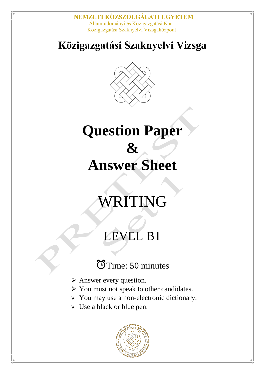**NEMZETI KÖZSZOLGÁLATI EGYETEM** Államtudományi és Közigazgatási Kar Közigazgatási Szaknyelvi Vizsgaközpont

### **Közigazgatási Szaknyelvi Vizsga**



# **Question Paper & Answer Sheet**

# WRITING

## LEVEL B1

## GTime: 50 minutes

- Answer every question.
- $\triangleright$  You must not speak to other candidates.
- > You may use a non-electronic dictionary.
- Use a black or blue pen.

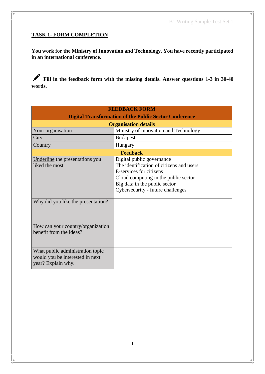### **TASK 1- FORM COMPLETION**

**You work for the Ministry of Innovation and Technology. You have recently participated in an international conference.**

**Fill in the feedback form with the missing details. Answer questions 1-3 in 30-40 words.**

| <b>FEEDBACK FORM</b>                                                                      |                                                                                                                                                                                                                |  |
|-------------------------------------------------------------------------------------------|----------------------------------------------------------------------------------------------------------------------------------------------------------------------------------------------------------------|--|
| <b>Digital Transformation of the Public Sector Conference</b>                             |                                                                                                                                                                                                                |  |
| <b>Organisation details</b>                                                               |                                                                                                                                                                                                                |  |
| Your organisation                                                                         | Ministry of Innovation and Technology                                                                                                                                                                          |  |
| City                                                                                      | <b>Budapest</b>                                                                                                                                                                                                |  |
| Country                                                                                   | Hungary                                                                                                                                                                                                        |  |
| <b>Feedback</b>                                                                           |                                                                                                                                                                                                                |  |
| Underline the presentations you<br>liked the most<br>Why did you like the presentation?   | Digital public governance<br>The identification of citizens and users<br>E-services for citizens<br>Cloud computing in the public sector<br>Big data in the public sector<br>Cybersecurity - future challenges |  |
|                                                                                           |                                                                                                                                                                                                                |  |
| How can your country/organization<br>benefit from the ideas?                              |                                                                                                                                                                                                                |  |
| What public administration topic<br>would you be interested in next<br>year? Explain why. |                                                                                                                                                                                                                |  |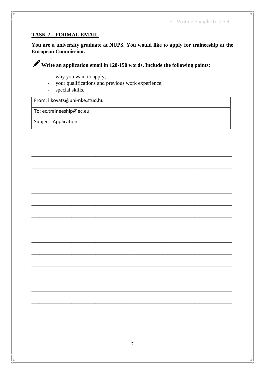#### **TASK 2 - FORMAL EMAIL**

You are a university graduate at NUPS. You would like to apply for traineeship at the **European Commission.** 

Write an application email in 120-150 words. Include the following points:

- why you want to apply;  $\overline{a}$
- your qualifications and previous work experience;  $\overline{a}$
- special skills.  $\omega$

From: I.kovats@uni-nke.stud.hu

To: ec.traineeship@ec.eu

Subject: Application